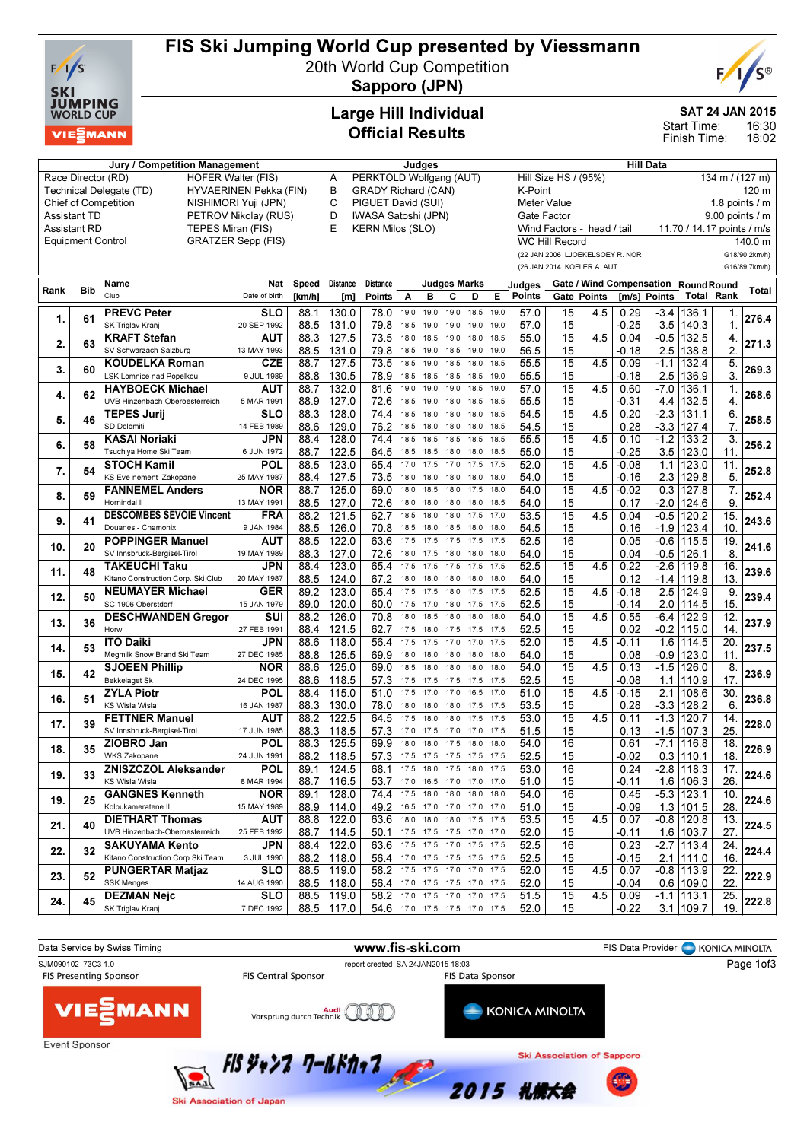

# FIS Ski Jumping World Cup presented by Viessmann

20th World Cup Competition



Sapporo (JPN)

### Large Hill Individual Official Results

### SAT 24 JAN 2015

16:30 18:02 Start Time: Finish Time:

|                          |            | Jury / Competition Management                   |                           |        |                 |                                 |                               | Judges    |                          |      |              |                      |                       |                                 | <b>Hill Data</b>                    |                  |                            |                 |               |  |  |
|--------------------------|------------|-------------------------------------------------|---------------------------|--------|-----------------|---------------------------------|-------------------------------|-----------|--------------------------|------|--------------|----------------------|-----------------------|---------------------------------|-------------------------------------|------------------|----------------------------|-----------------|---------------|--|--|
|                          |            | <b>HOFER Walter (FIS)</b><br>Race Director (RD) |                           |        | Α               | PERKTOLD Wolfgang (AUT)         |                               |           |                          |      |              | Hill Size HS / (95%) |                       |                                 |                                     |                  |                            | 134 m / (127 m) |               |  |  |
|                          |            | Technical Delegate (TD)                         | HYVAERINEN Pekka (FIN)    |        | в               | <b>GRADY Richard (CAN)</b>      |                               |           |                          |      |              | K-Point              |                       |                                 |                                     |                  | 120 m                      |                 |               |  |  |
|                          |            | Chief of Competition                            | NISHIMORI Yuji (JPN)      |        | C               | PIGUET David (SUI)              |                               |           |                          |      |              | <b>Meter Value</b>   |                       |                                 |                                     | 1.8 points $/$ m |                            |                 |               |  |  |
| <b>Assistant TD</b>      |            |                                                 | PETROV Nikolay (RUS)      |        | D               | IWASA Satoshi (JPN)             |                               |           |                          |      |              | Gate Factor          |                       |                                 |                                     | 9.00 points / m  |                            |                 |               |  |  |
| <b>Assistant RD</b>      |            | TEPES Miran (FIS)                               |                           |        | E               | <b>KERN Milos (SLO)</b>         |                               |           |                          |      |              |                      |                       | Wind Factors - head / tail      |                                     |                  | 11.70 / 14.17 points / m/s |                 |               |  |  |
| <b>Equipment Control</b> |            |                                                 | <b>GRATZER Sepp (FIS)</b> |        |                 |                                 |                               |           |                          |      |              |                      | <b>WC Hill Record</b> |                                 |                                     |                  |                            |                 | 140.0 m       |  |  |
|                          |            |                                                 |                           |        |                 |                                 |                               |           |                          |      |              |                      |                       | (22 JAN 2006 LJOEKELSOEY R. NOR |                                     |                  |                            |                 | G18/90.2km/h) |  |  |
|                          |            |                                                 |                           |        |                 |                                 |                               |           |                          |      |              |                      |                       | (26 JAN 2014 KOFLER A. AUT      |                                     |                  |                            |                 | G16/89.7km/h) |  |  |
|                          |            | <b>Name</b>                                     | <b>Nat</b>                | Speed  | <b>Distance</b> | Distance                        |                               |           | Judges Marks             |      |              | Judges               |                       |                                 | Gate / Wind Compensation RoundRound |                  |                            |                 |               |  |  |
| Rank                     | <b>Bib</b> | Club                                            | Date of birth             | [km/h] | [m]             | Points                          | Α                             | B         | С                        | D    | Е            | Points               |                       | Gate Points                     | [m/s] Points                        |                  | <b>Total Rank</b>          |                 | Total         |  |  |
|                          |            | <b>PREVC Peter</b>                              | <b>SLO</b>                |        |                 |                                 | 19.0                          | 19.0      | 19.0                     | 18.5 | 19.0         |                      |                       |                                 |                                     |                  |                            |                 |               |  |  |
| 1.                       | 61         |                                                 |                           | 88.1   | 130.0           | 78.0                            |                               |           |                          |      |              | 57.0                 | 15                    | 4.5                             | 0.29                                | -3.4<br>3.5      | 136.1                      |                 | 276.4         |  |  |
|                          |            | SK Triglav Kranj                                | 20 SEP 1992               | 88.5   | 131.0           | 79.8                            | 18.5                          | 19.0      | 19.0 19.0                | 18.0 | 19.0<br>18.5 | 57.0                 | 15                    |                                 | -0.25                               |                  | 140.3                      | 1.              |               |  |  |
| 2.                       | 63         | <b>KRAFT Stefan</b>                             | AUT                       | 88.3   | 127.5           | 73.5                            | 18.0                          | 18.5      | 19.0                     |      |              | 55.0                 | 15                    | 4.5                             | 0.04                                | $-0.5$           | 132.5                      | 4.              | 271.3         |  |  |
|                          |            | SV Schwarzach-Salzburg                          | 13 MAY 1993               | 88.5   | 131.0           | 79.8                            | 18.5                          | 19.0      | 18.5                     | 19.0 | 19.0         | 56.5                 | 15                    |                                 | -0.18                               |                  | $2.5$   138.8              | 2               |               |  |  |
| 3.                       | 60         | <b>KOUDELKA Roman</b>                           | <b>CZE</b>                | 88.7   | 127.5           | 73.5                            | 18.5                          | 19.0      | 18.5                     | 18.0 | 18.5         | 55.5                 | 15                    | 4.5                             | 0.09                                | $-1.1$           | 132.4                      | 5.              | 269.3         |  |  |
|                          |            | LSK Lomnice nad Popelkou                        | 9 JUL 1989                | 88.8   | 130.5           | 78.9                            | 18.5                          | 18.5      | 18.5 18.5                |      | 19.0         | 55.5                 | 15                    |                                 | -0.18                               | 2.5              | 136.9                      | 3.              |               |  |  |
| 4.                       | 62         | <b>HAYBOECK Michael</b>                         | <b>AUT</b>                | 88.7   | 132.0           | 81.6                            | 19.0                          | 19.0      | 19.0                     | 18.5 | 19.0         | 57.0                 | 15                    | 4.5                             | 0.60                                | $-7.0$           | 136.1                      | 1.              | 268.6         |  |  |
|                          |            | UVB Hinzenbach-Oberoesterreich                  | 5 MAR 1991                | 88.9   | 127.0           | 72.6                            | 18.5                          | 19.0      | 18.0 18.5                |      | 18.5         | 55.5                 | 15                    |                                 | -0.31                               | 4.4              | 132.5                      | 4.              |               |  |  |
| 5.                       | 46         | <b>TEPES Jurij</b>                              | <b>SLO</b>                | 88.3   | 128.0           | 74.4                            | 18.5                          | 18.0      | 18.0                     | 18.0 | 18.5         | 54.5                 | 15                    | 4.5                             | 0.20                                | $-2.3$           | 131.1                      | 6.              | 258.5         |  |  |
|                          |            | SD Dolomiti                                     | 14 FEB 1989               | 88.6   | 129.0           | 76.2                            | 18.5                          | 18.0      | 18.0 18.0                |      | 18.5         | 54.5                 | 15                    |                                 | 0.28                                |                  | $-3.3$   127.4             | 7.              |               |  |  |
| 6.                       | 58         | KASAI Noriaki                                   | JPN                       | 88.4   | 128.0           | 74.4                            | 18.5                          | 18.5      | 18.5                     | 18.5 | 18.5         | 55.5                 | 15                    | 4.5                             | 0.10                                | $-1.2$           | 133.2                      | 3.              | 256.2         |  |  |
|                          |            | Tsuchiya Home Ski Team                          | 6 JUN 1972                | 88.7   | 122.5           | 64.5                            | 18.5 18.5                     |           | 18.0 18.0                |      | 18.5         | 55.0                 | 15                    |                                 | -0.25                               |                  | $3.5$   123.0              | 11              |               |  |  |
| 7.                       | 54         | <b>STOCH Kamil</b>                              | POL                       | 88.5   | 123.0           | 65.4                            | 17.0                          | 17.5      | 17.0                     | 17.5 | 17.5         | 52.0                 | 15                    | 4.5                             | -0.08                               | 1.1              | 123.0                      | 11.             | 252.8         |  |  |
|                          |            | KS Eve-nement Zakopane                          | 25 MAY 1987               | 88.4   | 127.5           | 73.5                            | 18.0                          | 18.0      | 18.0 18.0                |      | 18.0         | 54.0                 | 15                    |                                 | -0.16                               | 2.3              | 129.8                      | 5.              |               |  |  |
| 8.                       | 59         | <b>FANNEMEL Anders</b>                          | <b>NOR</b>                | 88.7   | 125.0           | 69.0                            | 18.0                          | 18.5      | 18.0                     | 17.5 | 18.0         | 54.0                 | 15                    | 4.5                             | -0.02                               | 0.3              | 127.8                      | 7.              | 252.4         |  |  |
|                          |            | Hornindal II                                    | 13 MAY 1991               | 88.5   | 127.0           | 72.6                            | 18.0                          | 18.0      | 18.0 18.0                |      | 18.5         | 54.0                 | 15                    |                                 | 0.17                                | -2.0             | 124.6                      | 9.              |               |  |  |
| 9.                       | 41         | <b>DESCOMBES SEVOIE Vincent</b>                 | <b>FRA</b>                | 88.2   | 121.5           | 62.7                            | 18.5                          | 18.0      | 18.0                     | 17.5 | 17.0         | 53.5                 | 15                    | 4.5                             | 0.04                                | $-0.5$           | 120.2                      | 15.             | 243.6         |  |  |
|                          |            | Douanes - Chamonix                              | 9 JAN 1984                | 88.5   | 126.0           | 70.8                            | 18.5                          | 18.0      | 18.5 18.0                |      | 18.0         | 54.5                 | 15                    |                                 | 0.16                                | $-1.9$           | 123.4                      | 10              |               |  |  |
| 10.                      | 20         | <b>POPPINGER Manuel</b>                         | AUT                       | 88.5   | 122.0           | 63.6                            | 17.5                          | 17.5      | 17.5 17.5                |      | 17.5         | 52.5                 | 16                    |                                 | 0.05                                | $-0.6$           | 115.5                      | 19              | 241.6         |  |  |
|                          |            | SV Innsbruck-Bergisel-Tirol                     | 19 MAY 1989               | 88.3   | 127.0           | 72.6                            | 18.0 17.5                     |           | 18.0 18.0                |      | 18.0         | 54.0                 | 15                    |                                 | 0.04                                | $-0.5$           | 126.1                      | 8               |               |  |  |
| 11.                      | 48         | <b>TAKEUCHI Taku</b>                            | JPN                       | 88.4   | 123.0           | 65.4                            | 17.5                          | 17.5      | 17.5 17.5                |      | 17.5         | 52.5                 | 15                    | 4.5                             | 0.22                                | $-2.6$           | 119.8                      | 16              | 239.6         |  |  |
|                          |            | Kitano Construction Corp. Ski Club              | 20 MAY 1987               | 88.5   | 124.0           | 67.2                            | 18.0                          | 18.0      | 18.0                     | 18.0 | 18.0         | 54.0                 | 15                    |                                 | 0.12                                | $-1.4$           | 119.8                      | 13              |               |  |  |
| 12.                      | 50         | <b>NEUMAYER Michael</b>                         | GER                       | 89.2   | 123.0           | 65.4                            | 17.5                          | 17.5      | 18.0 17.5                |      | 17.5         | 52.5                 | 15                    | 4.5                             | -0.18                               | 2.5              | 124.9                      | 9               | 239.4         |  |  |
|                          |            | SC 1906 Oberstdorf                              | 15 JAN 1979               | 89.0   | 120.0           | 60.0                            | 17.5                          | 17.0      | 18.0 17.5                |      | 17.5         | 52.5                 | 15                    |                                 | -0.14                               | 2.0              | 114.5                      | 15.             |               |  |  |
| 13.                      | 36         | <b>DESCHWANDEN Gregor</b>                       | SUI                       | 88.2   | 126.0           | 70.8                            | 18.0                          | 18.5      | 18.0                     | 18.0 | 18.0         | 54.0                 | 15                    | 4.5                             | 0.55                                | -6.4             | 122.9                      | 12.             | 237.9         |  |  |
|                          |            | Horw                                            | 27 FEB 1991               | 88.4   | 121.5           | 62.7                            | 17.5                          | 18.0      | 17.5 17.5                |      | 17.5         | 52.5                 | 15                    |                                 | 0.02                                |                  | $-0.2$ 115.0               | 14.             |               |  |  |
| 14.                      | 53         | <b>ITO Daiki</b>                                | JPN                       | 88.6   | 118.0           | 56.4                            | 17.5                          | 17.5      | 17.0                     | 17.0 | 17.5         | 52.0                 | 15                    | 4.5                             | $-0.11$                             | 1.6              | 114.5                      | 20.             | 237.5         |  |  |
|                          |            | Megmilk Snow Brand Ski Team                     | 27 DEC 1985               | 88.8   | 125.5           | 69.9                            | 18.0                          | 18.0      | 18.0 18.0                |      | 18.0         | 54.0                 | 15                    |                                 | 0.08                                |                  | -0.9   123.0               | 11.             |               |  |  |
|                          |            | <b>SJOEEN Phillip</b>                           | NOR                       | 88.6   | 125.0           | 69.0                            | 18.5                          | 18.0      | 18.0                     | 18.0 | 18.0         | 54.0                 | $\overline{15}$       | 4.5                             | 0.13                                | $-1.5$           | 126.0                      | 8.              | 236.9         |  |  |
| 15.                      | 42         | <b>Bekkelaget Sk</b>                            | 24 DEC 1995               | 88.6   | 118.5           | 57.3                            | 17.5 17.5                     |           | 17.5 17.5                |      | 17.5         | 52.5                 | 15                    |                                 | -0.08                               | 1.1              | 110.9                      | 17.             |               |  |  |
|                          |            | <b>ZYLA Piotr</b>                               | <b>POL</b>                | 88.4   | 115.0           | 51.0                            | 17.5                          | 17.0      | 17.0                     | 16.5 | 17.0         | 51.0                 | 15                    | 4.5                             | -0.15                               | 2.1              | 108.6                      | 30.             |               |  |  |
| 16.                      | 51         | <b>KS Wisla Wisla</b>                           | 16 JAN 1987               | 88.3   | 130.0           | 78.0                            | 18.0 18.0                     |           | 18.0 17.5                |      | 17.5         | 53.5                 | 15                    |                                 | 0.28                                | $-3.3$           | 128.2                      | 6.              | 236.8         |  |  |
|                          |            | <b>FETTNER Manuel</b>                           | AUT                       | 88.2   | 122.5           | 64.5                            | 17.5                          | 18.0      | 18.0 17.5                |      | 17.5         | 53.0                 | 15                    | 4.5                             | 0.11                                | $-1.3$           | 120.7                      | 14.             |               |  |  |
| 17.                      | 39         | SV Innsbruck-Bergisel-Tirol                     | 17 JUN 1985               | 88.3   | 118.5           | 57.3                            | 17.0                          | 17.5      | 17.0 17.0                |      | 17.5         | 51.5                 | 15                    |                                 | 0.13                                | $-1.5$           | 107.3                      | 25.             | 228.0         |  |  |
|                          |            | ZIOBRO Jan                                      | <b>POL</b>                | 88.3   | 125.5           | 69.9                            |                               | 18.0 18.0 | 17.5 18.0                |      | 18.0         | 54.0                 | 16                    |                                 | 0.61                                | $-7.1$           | 116.8                      | 18              |               |  |  |
| 18.                      | 35         | WKS Zakopane                                    | 24 JUN 1991               |        | 88.2 118.5      | 57.3                            |                               |           | 17.5 17.5 17.5 17.5 17.5 |      |              | 52.5                 | 15                    |                                 | $-0.02$                             |                  | $0.3$ 110.1                | 18.             | 226.9         |  |  |
|                          |            | <b>ZNISZCZOL Aleksander</b>                     | <b>POL</b>                |        | $89.1$   124.5  | 68.1 17.5 18.0 17.5 18.0 17.5   |                               |           |                          |      |              | 53.0                 | 16                    |                                 | 0.24                                |                  | $-2.8$ 118.3               | 17.             |               |  |  |
| 19.                      | 33         | KS Wisla Wisla                                  | 8 MAR 1994                | 88.7   | 116.5           | 53.7                            |                               |           | 17.0 16.5 17.0 17.0 17.0 |      |              | 51.0                 | 15                    |                                 | -0.11                               |                  | $1.6$ 106.3                | 26.             | 224.6         |  |  |
|                          |            | <b>GANGNES Kenneth</b>                          | <b>NOR</b>                |        | 89.1   128.0    | 74.4                            |                               |           | 17.5 18.0 18.0 18.0 18.0 |      |              | 54.0                 | 16                    |                                 | 0.45                                |                  | $-5.3$ 123.1               | 10.             |               |  |  |
| 19.                      | 25         | Kolbukameratene IL                              | 15 MAY 1989               |        | 88.9 114.0      | 49.2                            |                               |           | 16.5 17.0 17.0 17.0 17.0 |      |              | 51.0                 | 15                    |                                 | -0.09                               |                  | $1.3$   101.5              | 28.             | 224.6         |  |  |
|                          |            | <b>DIETHART Thomas</b>                          | <b>AUT</b>                |        | 88.8   122.0    | 63.6                            |                               |           | 18.0 18.0 18.0 17.5 17.5 |      |              | 53.5                 | 15                    | 4.5                             | 0.07                                |                  | $-0.8$   120.8             | 13.             |               |  |  |
| 21.                      | 40         | UVB Hinzenbach-Oberoesterreich                  | 25 FEB 1992               | 88.7   | 114.5           | 50.1                            |                               |           | 17.5 17.5 17.5 17.0 17.0 |      |              | 52.0                 | 15                    |                                 | -0.11                               |                  | $1.6$   103.7              | 27.             | 224.5         |  |  |
|                          |            | <b>SAKUYAMA Kento</b>                           | <b>JPN</b>                |        | 88.4   122.0    | 63.6 17.5 17.5 17.0 17.5 17.5   |                               |           |                          |      |              | 52.5                 | 16                    |                                 | 0.23                                |                  | $-2.7$ 113.4               | 24.             |               |  |  |
| 22.                      | 32         | Kitano Construction Corp. Ski Team              | 3 JUL 1990                |        | $88.2$   118.0  |                                 | 56.4 17.0 17.5 17.5 17.5 17.5 |           |                          |      |              | 52.5                 | 15                    |                                 | -0.15                               |                  | $2.1$   111.0              | 16.             | 224.4         |  |  |
|                          |            | <b>PUNGERTAR Matjaz</b>                         | <b>SLO</b>                |        | 88.5   119.0    |                                 | 58.2 17.5 17.5 17.0 17.0 17.5 |           |                          |      |              | 52.0                 | 15                    | 4.5                             | 0.07                                |                  | -0.8  113.9                | 22.             |               |  |  |
| 23.                      | 52         | <b>SSK Menges</b>                               | 14 AUG 1990               |        | $88.5$   118.0  |                                 | 56.4 17.0 17.5 17.5 17.0 17.5 |           |                          |      |              | 52.0                 | 15                    |                                 | -0.04                               |                  | $0.6$   109.0              | 22.             | 222.9         |  |  |
|                          |            | <b>DEZMAN Nejc</b>                              | <b>SLO</b>                |        | $88.5$   119.0  | 58.2 17.0 17.5 17.0 17.0 17.5   |                               |           |                          |      |              | 51.5                 | 15                    | 4.5                             | 0.09                                |                  | $-1.1$   113.1             | 25.             |               |  |  |
| 24.                      | 45         |                                                 | 7 DEC 1992                |        | $88.5$   117.0  | 54.6   17.0 17.5 17.5 17.0 17.5 |                               |           |                          |      |              |                      |                       |                                 | $-0.22$                             |                  |                            |                 | 222.8         |  |  |
|                          |            | SK Triglav Kranj                                |                           |        |                 |                                 |                               |           |                          |      |              | 52.0                 | 15                    |                                 |                                     |                  | 3.1   109.7                | 19.             |               |  |  |

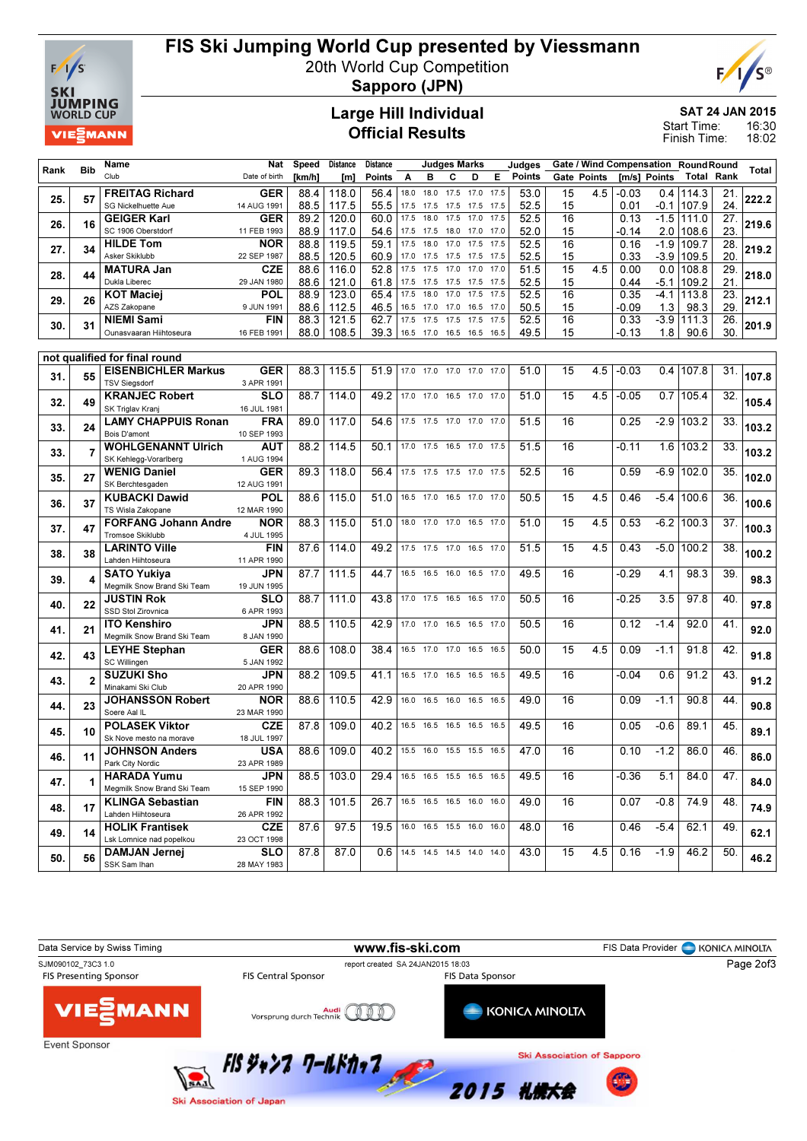

## FIS Ski Jumping World Cup presented by Viessmann

20th World Cup Competition



Sapporo (JPN)

#### Large Hill Individual Official Results

SAT 24 JAN 2015

16:30 18:02 Start Time: Finish Time:

| Rank | <b>Bib</b>     | Name                                               | <b>Nat</b>                | Speed        | <b>Distance</b> | <b>Distance</b> |              | <b>Judges Marks</b>            |              |                |              | Judges       |                 |                    |               | Gate / Wind Compensation RoundRound |                    |            | Total |
|------|----------------|----------------------------------------------------|---------------------------|--------------|-----------------|-----------------|--------------|--------------------------------|--------------|----------------|--------------|--------------|-----------------|--------------------|---------------|-------------------------------------|--------------------|------------|-------|
|      |                | Club                                               | Date of birth             | [km/h]       | [m]             | Points          | A            | в                              | c            | D              | Е            | Points       |                 | <b>Gate Points</b> |               | [m/s] Points                        | Total              | Rank       |       |
| 25.  | 57             | <b>FREITAG Richard</b>                             | <b>GER</b>                | 88.4         | 118.0           | 56.4            | 18.0         | 18.0                           | 17.5         | 17.0           | 17.5         | 53.0         | 15              | 4.5                | -0.03         |                                     | $0.4$ 114.3        | 21.        | 222.2 |
|      |                | <b>SG Nickelhuette Aue</b>                         | 14 AUG 1991               | 88.5         | 117.5           | 55.5            | 17.5         | 17.5                           | 17.5         | 17.5           | 17.5         | 52.5         | 15              |                    | 0.01          | -0.1                                | 107.9              | 24.        |       |
| 26.  | 16             | <b>GEIGER Karl</b><br>SC 1906 Oberstdorf           | GER<br>11 FEB 1993        | 89.2<br>88.9 | 120.0<br>117.0  | 60.0<br>54.6    | 17.5<br>17.5 | 18.0<br>17.5                   | 17.5<br>18.0 | 17.0<br>17.0   | 17.5<br>17.0 | 52.5<br>52.0 | 16<br>15        |                    | 0.13<br>-0.14 | $-1.5$                              | 111.0<br>2.0 108.6 | 27.<br>23. | 219.6 |
|      |                | <b>HILDE Tom</b>                                   | <b>NOR</b>                | 88.8         | 119.5           | 59.1            | 17.5         | 18.0                           | 17.0         | 17.5           | 17.5         | 52.5         | 16              |                    | 0.16          | $-1.9$                              | 109.7              | 28.        |       |
| 27.  | 34             | Asker Skiklubb                                     | 22 SEP 1987               | 88.5         | 120.5           | 60.9            | 17.0         | 17.5                           | 17.5         | 17.5           | 17.5         | 52.5         | 15              |                    | 0.33          | $-3.9$                              | 109.5              | 20.        | 219.2 |
|      |                | <b>MATURA Jan</b>                                  | <b>CZE</b>                | 88.6         | 116.0           | 52.8            | 17.5         | 17.5                           | 17.0         | 17.0           | 17.0         | 51.5         | 15              | 4.5                | 0.00          | 0.0                                 | 108.8              | 29.        |       |
| 28.  | 44             | Dukla Liberec                                      | 29 JAN 1980               | 88.6         | 121.0           | 61.8            | 17.5         | 17.5                           | 17.5         | 17.5           | 17.5         | 52.5         | 15              |                    | 0.44          | $-5.1$                              | 109.2              | 21         | 218.0 |
| 29.  | 26             | KOT Maciei                                         | <b>POL</b>                | 88.9         | 123.0           | 65.4            | 17.5         | 18.0                           | 17.0         | 17.5           | 17.5         | 52.5         | 16              |                    | 0.35          | $-4.1$                              | 113.8              | 23.        | 212.1 |
|      |                | AZS Zakopane                                       | 9 JUN 1991                | 88.6         | 112.5           | 46.5            | 16.5         | 17.0                           | 17.0         | 16.5           | 17.0         | 50.5         | 15              |                    | -0.09         | 1.3                                 | 98.3               | 29         |       |
| 30.  | 31             | <b>NIEMI Sami</b><br>Ounasvaaran Hiihtoseura       | <b>FIN</b><br>16 FEB 1991 | 88.3         | 121.5           | 62.7            | 17.5         | 17.5                           | 17.5         | 17.5           | 17.5<br>16.5 | 52.5         | 16              |                    | 0.33          | $-3.9$                              | 111.3              | 26.        | 201.9 |
|      |                |                                                    |                           | 88.0         | 108.5           | 39.3            |              | 16.5 17.0                      | 16.5         | 16.5           |              | 49.5         | 15              |                    | -0.13         | 1.8                                 | 90.6               | 30.        |       |
|      |                | not qualified for final round                      |                           |              |                 |                 |              |                                |              |                |              |              |                 |                    |               |                                     |                    |            |       |
|      |                | <b>EISENBICHLER Markus</b>                         | <b>GER</b>                | 88.3         | 115.5           | 51.9            |              | 17.0 17.0 17.0 17.0 17.0       |              |                |              | 51.0         | 15              | 4.5                | $-0.03$       |                                     | 0.4 107.8          | 31.        |       |
| 31.  | 55             | <b>TSV Siegsdorf</b>                               | 3 APR 1991                |              |                 |                 |              |                                |              |                |              |              |                 |                    |               |                                     |                    |            | 107.8 |
| 32.  | 49             | <b>KRANJEC Robert</b>                              | <b>SLO</b>                | 88.7         | 114.0           | 49.2            |              | 17.0 17.0                      |              | 16.5 17.0      | 17.0         | 51.0         | 15              | 4.5                | $-0.05$       | 0.7                                 | 105.4              | 32.        | 105.4 |
|      |                | SK Triglav Kranj                                   | 16 JUL 1981               |              |                 |                 |              |                                |              |                |              |              |                 |                    |               |                                     |                    |            |       |
| 33.  | 24             | <b>LAMY CHAPPUIS Ronan</b><br>Bois D'amont         | <b>FRA</b><br>10 SEP 1993 | 89.0         | 117.0           | 54.6            |              | 17.5 17.5 17.0 17.0 17.0       |              |                |              | 51.5         | 16              |                    | 0.25          | $-2.9$                              | 103.2              | 33.        | 103.2 |
|      |                | <b>WOHLGENANNT Ulrich</b>                          | <b>AUT</b>                | 88.2         | 114.5           | 50.1            |              | 17.0 17.5                      |              | 16.5 17.0 17.5 |              | 51.5         | 16              |                    | -0.11         |                                     | 1.6 103.2          | 33.        |       |
| 33.  | $\overline{7}$ | SK Kehlegg-Vorarlberg                              | 1 AUG 1994                |              |                 |                 |              |                                |              |                |              |              |                 |                    |               |                                     |                    |            | 103.2 |
|      |                | <b>WENIG Daniel</b>                                | <b>GER</b>                | 89.3         | 118.0           | 56.4            |              | 17.5 17.5 17.5 17.0 17.5       |              |                |              | 52.5         | 16              |                    | 0.59          |                                     | -6.9   102.0       | 35.        |       |
| 35.  | 27             | SK Berchtesgaden                                   | 12 AUG 1991               |              |                 |                 |              |                                |              |                |              |              |                 |                    |               |                                     |                    |            | 102.0 |
| 36.  | 37             | <b>KUBACKI Dawid</b>                               | POL                       | 88.6         | 115.0           | 51.0            |              | 16.5 17.0 16.5 17.0 17.0       |              |                |              | 50.5         | 15              | 4.5                | 0.46          |                                     | $-5.4$ 100.6       | 36.        | 100.6 |
|      |                | TS Wisla Zakopane                                  | 12 MAR 1990               |              |                 |                 |              |                                |              |                |              |              |                 |                    |               |                                     |                    |            |       |
| 37.  | 47             | <b>FORFANG Johann Andre</b>                        | <b>NOR</b>                | 88.3         | 115.0           | 51.0            |              | 18.0 17.0 17.0 16.5 17.0       |              |                |              | 51.0         | 15              | 4.5                | 0.53          | $-6.2$                              | 100.3              | 37.        | 100.3 |
|      |                | Tromsoe Skiklubb<br><b>LARINTO Ville</b>           | 4 JUL 1995<br><b>FIN</b>  | 87.6         | 114.0           | 49.2            |              | 17.5 17.5 17.0 16.5 17.0       |              |                |              | 51.5         | $\overline{15}$ | 4.5                | 0.43          | $-5.0$                              | 100.2              | 38.        |       |
| 38.  | 38             | Lahden Hiihtoseura                                 | 11 APR 1990               |              |                 |                 |              |                                |              |                |              |              |                 |                    |               |                                     |                    |            | 100.2 |
|      |                | SATO Yukiya                                        | JPN                       | 87.7         | 111.5           | 44.7            |              | 16.5 16.5 16.0 16.5 17.0       |              |                |              | 49.5         | 16              |                    | $-0.29$       | 4.1                                 | 98.3               | 39         |       |
| 39.  | 4              | Megmilk Snow Brand Ski Team                        | 19 JUN 1995               |              |                 |                 |              |                                |              |                |              |              |                 |                    |               |                                     |                    |            | 98.3  |
| 40   | 22             | JUSTIN Rok                                         | <b>SLO</b>                | 88.7         | 111.0           | 43.8            |              | 17.0 17.5 16.5 16.5 17.0       |              |                |              | 50.5         | 16              |                    | -0.25         | 3.5                                 | 97.8               | 40.        | 97.8  |
|      |                | SSD Stol Zirovnica                                 | 6 APR 1993                |              |                 |                 |              |                                |              |                |              |              |                 |                    |               |                                     |                    |            |       |
| 41.  | 21             | ITO Kenshiro<br>Megmilk Snow Brand Ski Team        | JPN<br>8 JAN 1990         | 88.5         | 110.5           | 42.9            |              | 17.0 17.0                      |              | 16.5 16.5 17.0 |              | 50.5         | 16              |                    | 0.12          | $-1.4$                              | 92.0               | 41.        | 92.0  |
|      |                | <b>LEYHE Stephan</b>                               | GER                       | 88.6         | 108.0           | 38.4            |              | 16.5 17.0                      | 17.0         | 16.5           | 16.5         | 50.0         | 15              | 4.5                | 0.09          | $-1.1$                              | 91.8               | 42.        |       |
| 42.  | 43             | SC Willingen                                       | 5 JAN 1992                |              |                 |                 |              |                                |              |                |              |              |                 |                    |               |                                     |                    |            | 91.8  |
|      |                | <b>SUZUKI Sho</b>                                  | JPN                       | 88.2         | 109.5           | 41.1            |              | 16.5 17.0                      |              | 16.5 16.5 16.5 |              | 49.5         | 16              |                    | $-0.04$       | 0.6                                 | 91.2               | 43.        |       |
| 43.  | $\overline{2}$ | Minakami Ski Club                                  | 20 APR 1990               |              |                 |                 |              |                                |              |                |              |              |                 |                    |               |                                     |                    |            | 91.2  |
| 44.  | 23             | <b>JOHANSSON Robert</b>                            | <b>NOR</b>                | 88.6         | 110.5           | 42.9            | 16.0         | 16.5 16.0 16.5 16.5            |              |                |              | 49.0         | 16              |                    | 0.09          | $-1.1$                              | 90.8               | 44.        | 90.8  |
|      |                | Soere Aal IL                                       | 23 MAR 1990               |              |                 |                 |              |                                |              |                |              |              |                 |                    |               |                                     |                    |            |       |
| 45.  | 10             | <b>POLASEK Viktor</b><br>Sk Nove mesto na morave   | <b>CZE</b><br>18 JUL 1997 | 87.8         | 109.0           | 40.2            |              | 16.5 16.5 16.5 16.5 16.5       |              |                |              | 49.5         | 16              |                    | 0.05          | -0.6                                | 89.1               | 45.        | 89.1  |
|      |                | <b>JOHNSON Anders</b>                              | <b>USA</b>                | 88.6         | 109.0           | 40.2            |              | 15.5 16.0 15.5 15.5 16.5       |              |                |              | 47.0         | 16              |                    | 0.10          | $-1.2$                              | 86.0               | 46.        |       |
| 46.  | 11             | Park City Nordic                                   | 23 APR 1989               |              |                 |                 |              |                                |              |                |              |              |                 |                    |               |                                     |                    |            | 86.0  |
|      |                | <b>HARADA Yumu</b>                                 | <b>JPN</b>                | 88.5         | 103.0           | 29.4            |              | 16.5 16.5 15.5 16.5 16.5       |              |                |              | 49.5         | 16              |                    | $-0.36$       | 5.1                                 | 84.0               | 47.        |       |
| 47.  | 1              | Megmilk Snow Brand Ski Team                        | 15 SEP 1990               |              |                 |                 |              |                                |              |                |              |              |                 |                    |               |                                     |                    |            | 84.0  |
| 48.  | 17             | <b>KLINGA Sebastian</b>                            | FIN                       | 88.3         | 101.5           | 26.7            |              | 16.5 16.5 16.5 16.0 16.0       |              |                |              | 49.0         | 16              |                    | 0.07          | $-0.8$                              | 74.9               | 48.        | 74.9  |
|      |                | Lahden Hiihtoseura                                 | 26 APR 1992               |              |                 |                 |              |                                |              |                |              |              |                 |                    |               |                                     |                    |            |       |
| 49.  | 14             | <b>HOLIK Frantisek</b><br>Lsk Lomnice nad popelkou | <b>CZE</b><br>23 OCT 1998 | 87.6         | 97.5            | 19.5            |              | 16.0 16.5 15.5 16.0 16.0       |              |                |              | 48.0         | 16              |                    | 0.46          | $-5.4$                              | 62.1               | 49.        | 62.1  |
|      |                | <b>DAMJAN Jernej</b>                               | <b>SLO</b>                | 87.8         | 87.0            |                 |              | $0.6$ 14.5 14.5 14.5 14.0 14.0 |              |                |              | 43.0         | 15              | 4.5                | 0.16          | $-1.9$                              | 46.2               | 50.        |       |
| 50.  | 56             | SSK Sam Ihan                                       | 28 MAY 1983               |              |                 |                 |              |                                |              |                |              |              |                 |                    |               |                                     |                    |            | 46.2  |
|      |                |                                                    |                           |              |                 |                 |              |                                |              |                |              |              |                 |                    |               |                                     |                    |            |       |